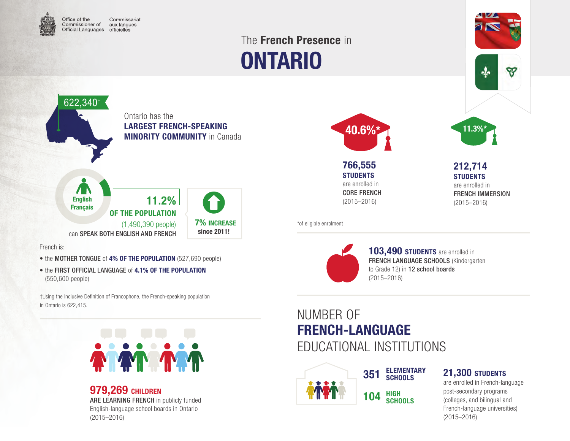

# ONTARIO The French Presence in



French is:

- the MOTHER TONGUE of 4% OF THE POPULATION (527,690 people)
- the FIRST OFFICIAL LANGUAGE of 4.1% OF THE POPULATION (550,600 people)

†Using the Inclusive Definition of Francophone, the French-speaking population in Ontario is 622,415.



#### **979,269 CHILDREN** ARE LEARNING FRENCH in publicly funded English-language school boards in Ontario (2015–2016)



766,555 **STUDENTS** are enrolled in CORE FRENCH (2015–2016)

\*of eligible enrolment



103,490 STUDENTS are enrolled in FRENCH LANGUAGE SCHOOLS (Kindergarten to Grade 12) in 12 school boards (2015–2016)

### NUMBER OF FRENCH-LANGUAGE EDUCATIONAL INSTITUTIONS



HIGH **SCHOOLS** 104

ELEMENTARY **SCHOOLS** 

#### 21,300 STUDENTS

212,714 **STUDENTS** are enrolled in FRENCH IMMERSION (2015–2016)

ଙ

are enrolled in French-language post-secondary programs (colleges, and bilingual and French-language universities) (2015–2016)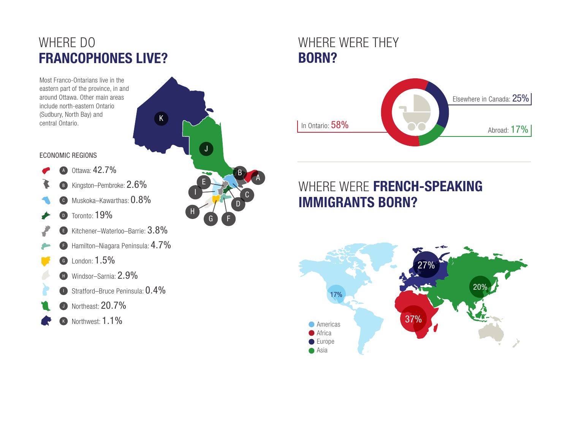### WHERE DO FRANCOPHONES LIVE?

Most Franco-Ontarians live in the eastern part of the province, in and around Ottawa. Other main areas include north-eastern Ontario (Sudbury, North Bay) and central Ontario.

### B<sub>K</sub>A D E I J H

 $K$ 

C

G Y F

#### ECONOMIC REGIONS

- <sup>A</sup> Ottawa: 42.7%
- B Kingston–Pembroke: 2.6%
- <sup>C</sup> Muskoka–Kawarthas: 0.8%
- D Toronto: 19%
- <sup>E</sup> Kitchener–Waterloo–Barrie: 3.8%
- <sup>F</sup> Hamilton–Niagara Peninsula: 4.7%
- <sup>G</sup> London: 1.5%
	- H Windsor–Sarnia: 2.9%
- $\bullet$  Stratford–Bruce Peninsula:  $0.4\%$
- **D** Northeast: 20.7%
- K Northwest: 1.1%





## WHERE WERE FRENCH-SPEAKING IMMIGRANTS BORN?